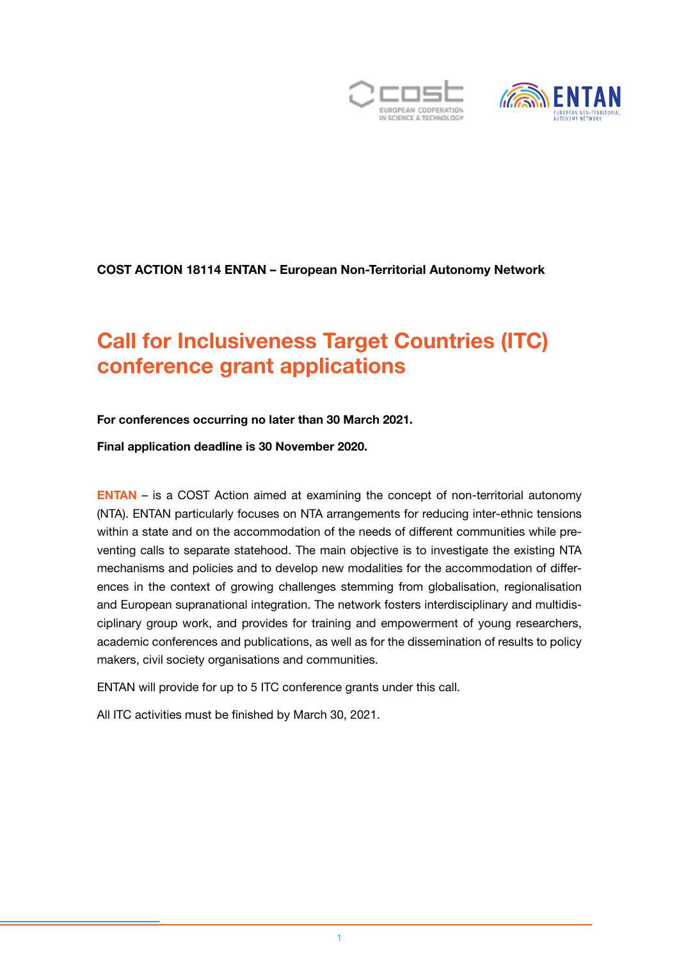



#### COST ACTION 18114 ENTAN – European Non-Territorial Autonomy Network

# Call for Inclusiveness Target Countries (ITC) conference grant applications

#### For conferences occurring no later than 30 March 2021.

Final application deadline is 30 November 2020.

[ENTAN](https://entan.org/) – is a COST Action aimed at examining the concept of non-territorial autonomy (NTA). ENTAN particularly focuses on NTA arrangements for reducing inter-ethnic tensions within a state and on the accommodation of the needs of different communities while preventing calls to separate statehood. The main objective is to investigate the existing NTA mechanisms and policies and to develop new modalities for the accommodation of differences in the context of growing challenges stemming from globalisation, regionalisation and European supranational integration. The network fosters interdisciplinary and multidisciplinary group work, and provides for training and empowerment of young researchers, academic conferences and publications, as well as for the dissemination of results to policy makers, civil society organisations and communities.

ENTAN will provide for up to 5 ITC conference grants under this call.

All ITC activities must be finished by March 30, 2021.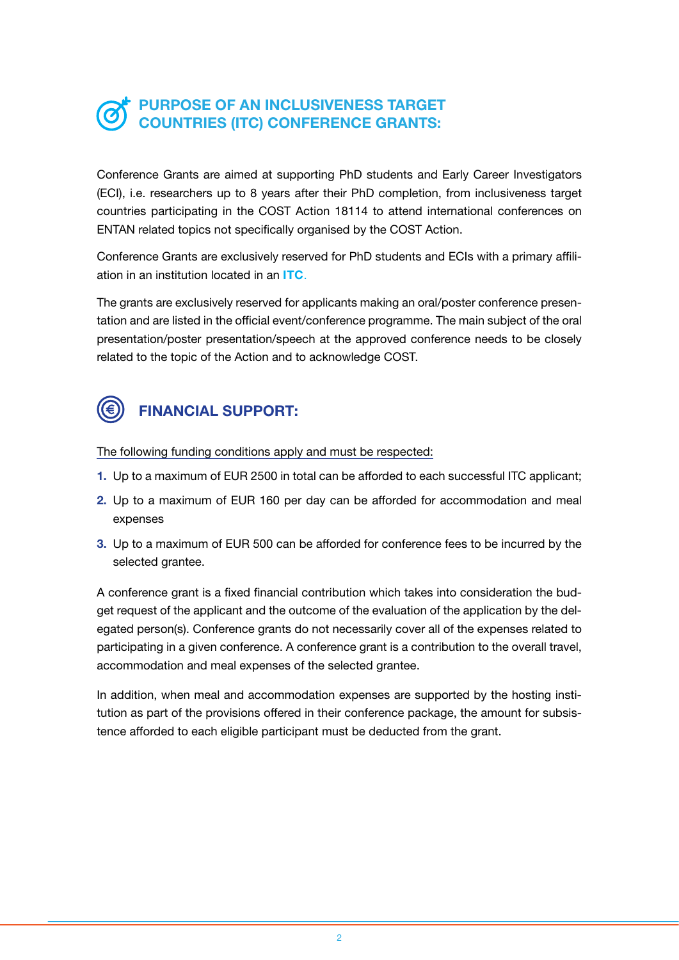### PURPOSE OF AN INCLUSIVENESS TARGET COUNTRIES (ITC) CONFERENCE GRANTS:

Conference Grants are aimed at supporting PhD students and Early Career Investigators (ECI), i.e. researchers up to 8 years after their PhD completion, from inclusiveness target countries participating in the COST Action 18114 to attend international conferences on ENTAN related topics not specifically organised by the COST Action.

Conference Grants are exclusively reserved for PhD students and ECIs with a primary affiliation in an institution located in an [ITC](https://www.cost.eu/who-we-are/cost-strategy/excellence-and-inclusiveness/).

The grants are exclusively reserved for applicants making an oral/poster conference presentation and are listed in the official event/conference programme. The main subject of the oral presentation/poster presentation/speech at the approved conference needs to be closely related to the topic of the Action and to acknowledge COST.



## FINANCIAL SUPPORT:

The following funding conditions apply and must be respected:

- 1. Up to a maximum of EUR 2500 in total can be afforded to each successful ITC applicant;
- 2. Up to a maximum of EUR 160 per day can be afforded for accommodation and meal expenses
- 3. Up to a maximum of EUR 500 can be afforded for conference fees to be incurred by the selected grantee.

A conference grant is a fixed financial contribution which takes into consideration the budget request of the applicant and the outcome of the evaluation of the application by the delegated person(s). Conference grants do not necessarily cover all of the expenses related to participating in a given conference. A conference grant is a contribution to the overall travel, accommodation and meal expenses of the selected grantee.

In addition, when meal and accommodation expenses are supported by the hosting institution as part of the provisions offered in their conference package, the amount for subsistence afforded to each eligible participant must be deducted from the grant.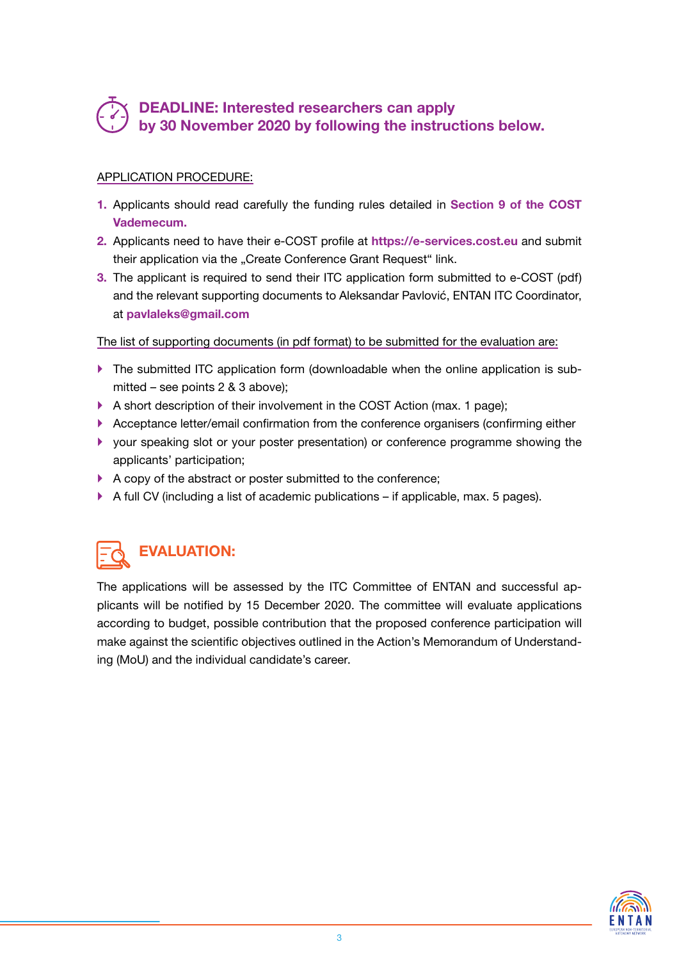### DEADLINE: Interested researchers can apply by 30 November 2020 by following the instructions below.

#### APPLICATION PROCEDURE:

- 1. Applicants should read carefully the funding rules detailed in [Section 9 of the COST](https://www.cost.eu/wp-content/uploads/2020/05/Vademecum-V8-1-May-2020.pdf) [Vademecum](https://www.cost.eu/wp-content/uploads/2020/05/Vademecum-V8-1-May-2020.pdf).
- 2. Applicants need to have their e-COST profile at [https://e-services.cost.eu](https://e-services.cost.eu/) and submit their application via the "Create Conference Grant Request" link.
- 3. The applicant is required to send their ITC application form submitted to e-COST (pdf) and the relevant supporting documents to Aleksandar Pavlović, ENTAN ITC Coordinator, at [pavlaleks@gmail.com](mailto:pavlaleks@gmail.com)

The list of supporting documents (in pdf format) to be submitted for the evaluation are:

- $\blacktriangleright$  The submitted ITC application form (downloadable when the online application is submitted – see points 2 & 3 above);
- A short description of their involvement in the COST Action (max. 1 page);
- ` Acceptance letter/email confirmation from the conference organisers (confirming either
- ` your speaking slot or your poster presentation) or conference programme showing the applicants' participation;
- $\blacktriangleright$  A copy of the abstract or poster submitted to the conference;
- $\blacktriangleright$  A full CV (including a list of academic publications if applicable, max. 5 pages).

# EVALUATION:

The applications will be assessed by the ITC Committee of ENTAN and successful applicants will be notified by 15 December 2020. The committee will evaluate applications according to budget, possible contribution that the proposed conference participation will make against the scientific objectives outlined in the Action's Memorandum of Understanding (MoU) and the individual candidate's career.

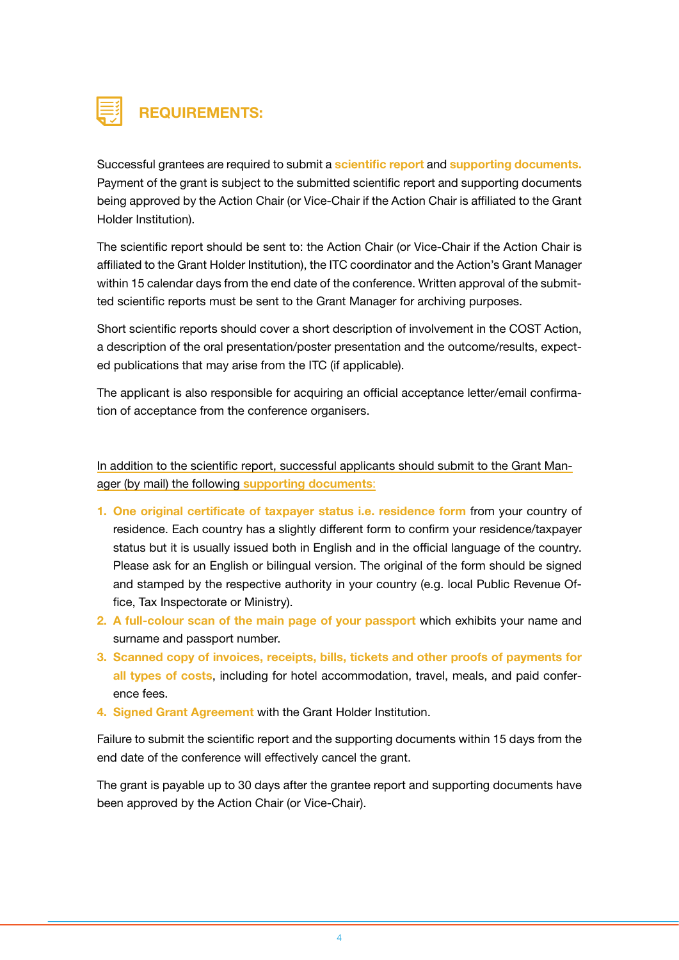

### REQUIREMENTS:

Successful grantees are required to submit a scientific report and supporting documents. Payment of the grant is subject to the submitted scientific report and supporting documents being approved by the Action Chair (or Vice-Chair if the Action Chair is affiliated to the Grant Holder Institution).

The scientific report should be sent to: the Action Chair (or Vice-Chair if the Action Chair is affiliated to the Grant Holder Institution), the ITC coordinator and the Action's Grant Manager within 15 calendar days from the end date of the conference. Written approval of the submitted scientific reports must be sent to the Grant Manager for archiving purposes.

Short scientific reports should cover a short description of involvement in the COST Action, a description of the oral presentation/poster presentation and the outcome/results, expected publications that may arise from the ITC (if applicable).

The applicant is also responsible for acquiring an official acceptance letter/email confirmation of acceptance from the conference organisers.

In addition to the scientific report, successful applicants should submit to the Grant Manager (by mail) the following supporting documents:

- 1. One original certificate of taxpayer status i.e. residence form from your country of residence. Each country has a slightly different form to confirm your residence/taxpayer status but it is usually issued both in English and in the official language of the country. Please ask for an English or bilingual version. The original of the form should be signed and stamped by the respective authority in your country (e.g. local Public Revenue Office, Tax Inspectorate or Ministry).
- 2. A full-colour scan of the main page of your passport which exhibits your name and surname and passport number.
- 3. Scanned copy of invoices, receipts, bills, tickets and other proofs of payments for all types of costs, including for hotel accommodation, travel, meals, and paid conference fees.
- 4. Signed Grant Agreement with the Grant Holder Institution.

Failure to submit the scientific report and the supporting documents within 15 days from the end date of the conference will effectively cancel the grant.

The grant is payable up to 30 days after the grantee report and supporting documents have been approved by the Action Chair (or Vice-Chair).